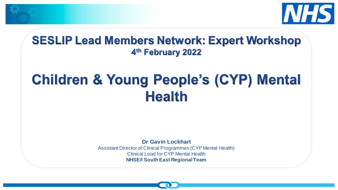

#### **SESLIP Lead Members Network: Expert Workshop** 4th February 2022

# **Children & Young People's (CYP) Mental Health**

**Dr Gavin Lockhart**

Assistant Director of Clinical Programmes (CYP Mental Health) Clinical Lead for CYP Mental Health **NHSE/I South East Regional Team**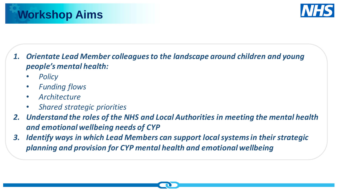## **Workshop Aims**



*1. Orientate Lead Member colleagues to the landscape around children and young people's mental health:*

- *Policy*
- *Funding flows*
- *Architecture*
- *Shared strategic priorities*
- *2. Understand the roles of the NHS and Local Authorities in meeting the mental health and emotional wellbeing needs of CYP*
- *3. Identify ways in which Lead Members can support local systems in their strategic planning and provision for CYP mental health and emotional wellbeing*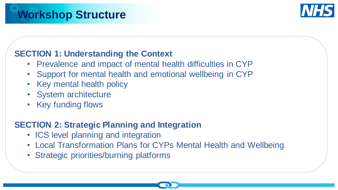### **Workshop Structure**



#### **SECTION 1: Understanding the Context**

- Prevalence and impact of mental health difficulties in CYP
- Support for mental health and emotional wellbeing in CYP
- Key mental health policy
- System architecture
- Key funding flows

#### **SECTION 2: Strategic Planning and Integration**

- ICS level planning and integration
- Local Transformation Plans for CYPs Mental Health and Wellbeing
- Strategic priorities/burning platforms

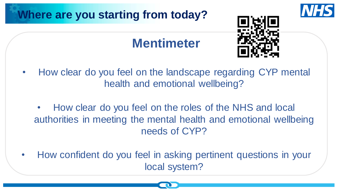### **Where are you starting from today?**



**Mentimeter**



- How clear do you feel on the landscape regarding CYP mental health and emotional wellbeing?
	- How clear do you feel on the roles of the NHS and local authorities in meeting the mental health and emotional wellbeing needs of CYP?
- How confident do you feel in asking pertinent questions in your local system?

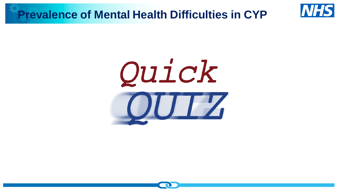





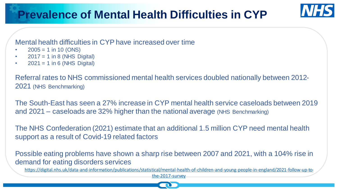### **Prevalence of Mental Health Difficulties in CYP**



#### Mental health difficulties in CYP have increased over time

- $2005 = 1$  in 10 (ONS)
- $2017 = 1$  in 8 (NHS Digital)
- $2021 = 1$  in 6 (NHS Digital)

Referral rates to NHS commissioned mental health services doubled nationally between 2012- 2021 (NHS Benchmarking)

The South-East has seen a 27% increase in CYP mental health service caseloads between 2019 and 2021 – caseloads are 32% higher than the national average (NHS Benchmarking)

The NHS Confederation (2021) estimate that an additional 1.5 million CYP need mental health support as a result of Covid-19 related factors

Possible eating problems have shown a sharp rise between 2007 and 2021, with a 104% rise in demand for eating disorders services

[https://digital.nhs.uk/data-and-information/publications/statistical/mental-health-of-children-and-young-people-in-england/2021-follow-up-to-](https://digital.nhs.uk/data-and-information/publications/statistical/mental-health-of-children-and-young-people-in-england/2021-follow-up-to-the-2017-survey)

the-2017-survey

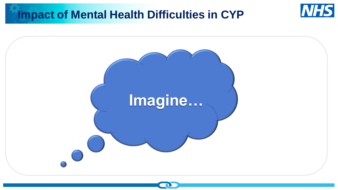### **Impact of Mental Health Difficulties in CYP**



**NHS**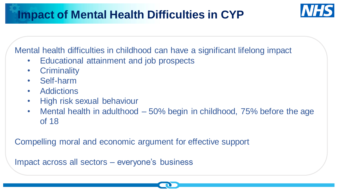### **Impact of Mental Health Difficulties in CYP**

Mental health difficulties in childhood can have a significant lifelong impact

- Educational attainment and job prospects
- Criminality
- Self-harm
- **Addictions**
- High risk sexual behaviour
- Mental health in adulthood 50% begin in childhood, 75% before the age of 18

Compelling moral and economic argument for effective support

Impact across all sectors – everyone's business

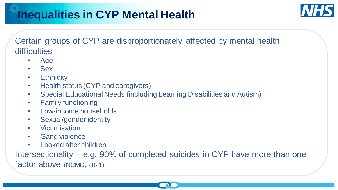### **Inequalities in CYP Mental Health**



Certain groups of CYP are disproportionately affected by mental health **difficulties** 

- Age
- Sex
- Ethnicity
- Health status (CYP and caregivers)
- Special Educational Needs (including Learning Disabilities and Autism)
- Family functioning
- Low-income households
- Sexual/gender identity
- Victimisation
- Gang violence
- Looked after children

Intersectionality – e.g. 90% of completed suicides in CYP have more than one factor above (NCMD, 2021)

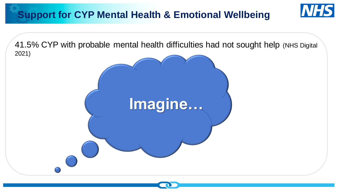### **Support for CYP Mental Health & Emotional Wellbeing**

41.5% CYP with probable mental health difficulties had not sought help (NHS Digital 2021)

INFI

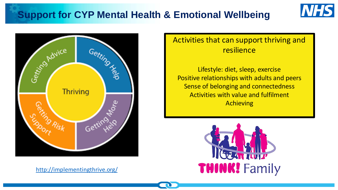### **Support for CYP Mental Health & Emotional Wellbeing**



<http://implementingthrive.org/>

Activities that can support thriving and resilience

**NHS** 

Lifestyle: diet, sleep, exercise Positive relationships with adults and peers Sense of belonging and connectedness Activities with value and fulfilment Achieving

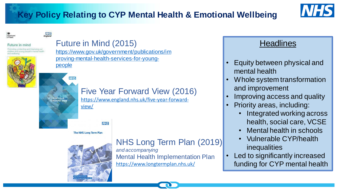### **Key Policy Relating to CYP Mental Health & Emotional Wellbeing**



#### Departmen

#### Future in mind

Promoting, protecting and improving our. children and young people's mantal health

**NHS**<br>England



#### Future in Mind (2015)

[https://www.gov.uk/government/publications/im](https://www.gov.uk/government/publications/improving-mental-health-services-for-young-people) proving-mental-health-services-for-youngpeople

Five Year Forward View (2016)

[https://www.england.nhs.uk/five-year-forward](https://www.england.nhs.uk/five-year-forward-view/)view/

**NHS** 

#### The NHS Long Term Plan

**NHS** 



#### NHS Long Term Plan (2019)

*and accompanying*  Mental Health Implementation Plan <https://www.longtermplan.nhs.uk/>

#### **Headlines**

- Equity between physical and mental health
- Whole system transformation and improvement
- Improving access and quality
- Priority areas, including:
	- Integrated working across health, social care, VCSE
	- Mental health in schools
	- Vulnerable CYP/health inequalities
- Led to significantly increased funding for CYP mental health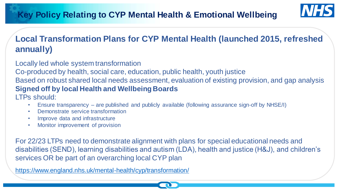

### **Local Transformation Plans for CYP Mental Health (launched 2015, refreshed annually)**

#### Locally led whole system transformation

Co-produced by health, social care, education, public health, youth justice

Based on robust shared local needs assessment, evaluation of existing provision, and gap analysis **Signed off by local Health and Wellbeing Boards**

LTPs should:

- Ensure transparency are published and publicly available (following assurance sign-off by NHSE/I)
- Demonstrate service transformation
- Improve data and infrastructure
- Monitor improvement of provision

For 22/23 LTPs need to demonstrate alignment with plans for special educational needs and disabilities (SEND), learning disabilities and autism (LDA), health and justice (H&J), and children's services OR be part of an overarching local CYP plan

<https://www.england.nhs.uk/mental-health/cyp/transformation/>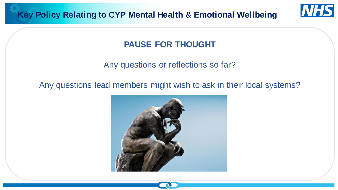**Key Policy Relating to CYP Mental Health & Emotional Wellbeing**



#### **PAUSE FOR THOUGHT**

#### Any questions or reflections so far?

#### Any questions lead members might wish to ask in their local systems?

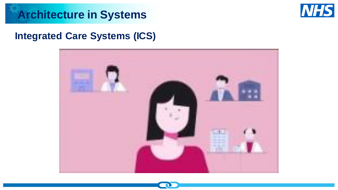



#### **Integrated Care Systems (ICS)**

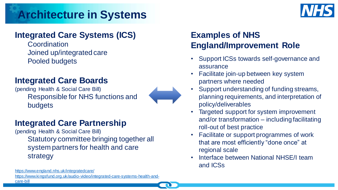### **Architecture in Systems**



#### **Integrated Care Systems (ICS)**

**Coordination** Joined up/integrated care Pooled budgets

#### **Integrated Care Boards**

(pending Health & Social Care Bill) Responsible for NHS functions and budgets



#### **Integrated Care Partnership**

(pending Health & Social Care Bill)

Statutory committee bringing together all system partners for health and care strategy

<https://www.england.nhs.uk/integratedcare/> [https://www.kingsfund.org.uk/audio-video/integrated-care-systems-health-and](https://www.kingsfund.org.uk/audio-video/integrated-care-systems-health-and-care-bill)care-bill

### **Examples of NHS England/Improvement Role**

- Support ICSs towards self-governance and assurance
- Facilitate join-up between key system partners where needed
- Support understanding of funding streams, planning requirements, and interpretation of policy/deliverables
- Targeted support for system improvement and/or transformation – including facilitating roll-out of best practice
- Facilitate or support programmes of work that are most efficiently "done once" at regional scale
- Interface between National NHSE/I team and ICSs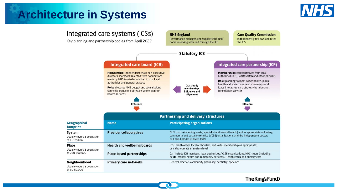### **Architecture in Systems**





The Kings Fund>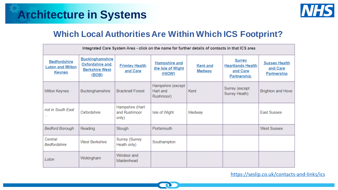

#### **Which Local Authorities Are Within Which ICS Footprint?**

| Integrated Care System Area - click on the name for further details of contacts in that ICS area |                                                                                           |                                          |                                                     |                                  |                                                                             |                                                        |
|--------------------------------------------------------------------------------------------------|-------------------------------------------------------------------------------------------|------------------------------------------|-----------------------------------------------------|----------------------------------|-----------------------------------------------------------------------------|--------------------------------------------------------|
| <b>Bedfordshire</b><br><b>Luton and Milton</b><br><b>Keynes</b>                                  | <b>Buckinghamshire</b><br><b>Oxfordshire and</b><br><b>Berkshire West</b><br><u>(BOB)</u> | <b>Frimley Health</b><br>and Care        | <b>Hampshire and</b><br>the Isle of Wight<br>(HIOW) | <b>Kent and</b><br><b>Medway</b> | <b>Surrey</b><br><b>Heartlands Health</b><br>and Care<br><b>Partnership</b> | <b>Sussex Health</b><br>and Care<br><b>Partnership</b> |
| Milton Keynes                                                                                    | <b>Buckinghamshire</b>                                                                    | <b>Bracknell Forest</b>                  | Hampshire (except<br>Hart and<br>Rushmoor)          | Kent                             | Surrey (except<br>Surrey Heath)                                             | <b>Brighton and Hove</b>                               |
| not in South East<br>$\cdots$                                                                    | Oxfordshire                                                                               | Hampshire (Hart<br>and Rushmoor<br>only) | Isle of Wight                                       | Medway                           |                                                                             | <b>East Sussex</b>                                     |
| <b>Bedford Borough</b>                                                                           | Reading                                                                                   | Slough                                   | Portsmouth                                          |                                  |                                                                             | <b>West Sussex</b>                                     |
| Central<br><b>Bedfordshire</b>                                                                   | <b>West Berkshire</b>                                                                     | Surrey (Surrey<br>Heath only)            | Southampton                                         |                                  |                                                                             |                                                        |
| Luton                                                                                            | Wokingham                                                                                 | Windsor and<br>Maidenhead                |                                                     |                                  |                                                                             |                                                        |

**D** 

<https://seslip.co.uk/contacts-and-links/ics>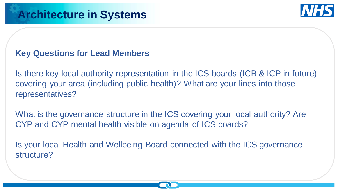

#### **Key Questions for Lead Members**

Is there key local authority representation in the ICS boards (ICB & ICP in future) covering your area (including public health)? What are your lines into those representatives?

What is the governance structure in the ICS covering your local authority? Are CYP and CYP mental health visible on agenda of ICS boards?

Is your local Health and Wellbeing Board connected with the ICS governance structure?

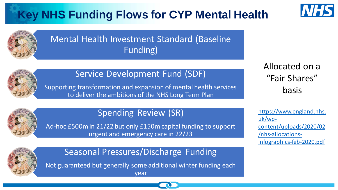# **Key NHS Funding Flows for CYP Mental Health**



#### Mental Health Investment Standard (Baseline Funding)

### Service Development Fund (SDF)

Supporting transformation and expansion of mental health services to deliver the ambitions of the NHS Long Term Plan

#### Allocated on a "Fair Shares" basis

**NHS** 



#### Spending Review (SR)

Ad-hoc £500m in 21/22 but only £150m capital funding to support urgent and emergency care in 22/23



Seasonal Pressures/Discharge Funding

Not guaranteed but generally some additional winter funding each year



https://www.england.nhs. uk/wp[content/uploads/2020/02](https://www.england.nhs.uk/wp-content/uploads/2020/02/nhs-allocations-infographics-feb-2020.pdf) /nhs-allocationsinfographics-feb-2020.pdf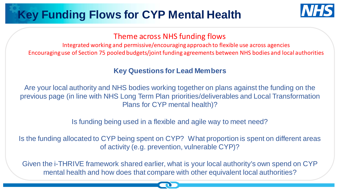### **Key Funding Flows for CYP Mental Health**



#### Theme across NHS funding flows

Integrated working and permissive/encouraging approach to flexible use across agencies Encouraging use of Section 75 pooled budgets/joint funding agreements between NHS bodies and local authorities

#### **Key Questions for Lead Members**

Are your local authority and NHS bodies working together on plans against the funding on the previous page (in line with NHS Long Term Plan priorities/deliverables and Local Transformation Plans for CYP mental health)?

Is funding being used in a flexible and agile way to meet need?

Is the funding allocated to CYP being spent on CYP? What proportion is spent on different areas of activity (e.g. prevention, vulnerable CYP)?

Given the i-THRIVE framework shared earlier, what is your local authority's own spend on CYP mental health and how does that compare with other equivalent local authorities?

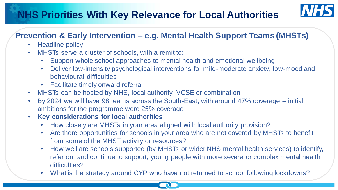

#### **Prevention & Early Intervention – e.g. Mental Health Support Teams (MHSTs)**

- Headline policy
- MHSTs serve a cluster of schools, with a remit to:
	- Support whole school approaches to mental health and emotional wellbeing
	- Deliver low-intensity psychological interventions for mild-moderate anxiety, low-mood and behavioural difficulties
	- Facilitate timely onward referral
- MHSTs can be hosted by NHS, local authority, VCSE or combination
- By 2024 we will have 98 teams across the South-East, with around 47% coverage initial ambitions for the programme were 25% coverage
- **Key considerations for local authorities**
	- How closely are MHSTs in your area aligned with local authority provision?
	- Are there opportunities for schools in your area who are not covered by MHSTs to benefit from some of the MHST activity or resources?
	- How well are schools supported (by MHSTs or wider NHS mental health services) to identify, refer on, and continue to support, young people with more severe or complex mental health difficulties?
	- What is the strategy around CYP who have not returned to school following lockdowns?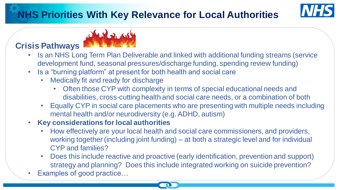#### **Crisis Pathways**



- Is an NHS Long Term Plan Deliverable and linked with additional funding streams (service development fund, seasonal pressures/discharge funding, spending review funding)
- Is a "burning platform" at present for both health and social care
	- Medically fit and ready for discharge
		- Often those CYP with complexity in terms of special educational needs and disabilities, cross-cutting health and social care needs, or a combination of both
	- Equally CYP in social care placements who are presenting with multiple needs including mental health and/or neurodiversity (e.g. ADHD, autism)
- **Key considerations for local authorities**
	- How effectively are your local health and social care commissioners, and providers, working together (including joint funding) – at both a strategic level and for individual CYP and families?
	- Does this include reactive and proactive (early identification, prevention and support) strategy and planning? Does this include integrated working on suicide prevention?
- Examples of good practice...

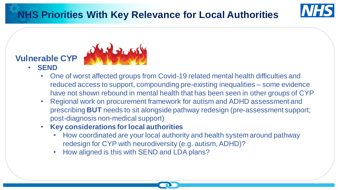### **Vulnerable CYP**

• **SEND**



- One of worst affected groups from Covid-19 related mental health difficulties and reduced access to support, compounding pre-existing inequalities – some evidence have not shown rebound in mental health that has been seen in other groups of CYP
- Regional work on procurement framework for autism and ADHD assessment and prescribing **BUT** needs to sit alongside pathway redesign (pre-assessment support; post-diagnosis non-medical support)
- **Key considerations for local authorities**
	- How coordinated are your local authority and health system around pathway redesign for CYP with neurodiversity (e.g. autism, ADHD)?
	- How aligned is this with SEND and LDA plans?

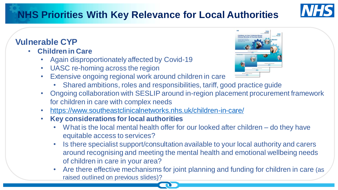#### **Vulnerable CYP**

- **Children in Care**
	- Again disproportionately affected by Covid-19
	- UASC re-homing across the region
	- Extensive ongoing regional work around children in care
		- Shared ambitions, roles and responsibilities, tariff, good practice guide
	- Ongoing collaboration with SESLIP around in-region placement procurement framework for children in care with complex needs
	- <https://www.southeastclinicalnetworks.nhs.uk/children-in-care/>
	- **Key considerations for local authorities**
		- What is the local mental health offer for our looked after children do they have equitable access to services?
		- Is there specialist support/consultation available to your local authority and carers around recognising and meeting the mental health and emotional wellbeing needs of children in care in your area?
		- Are there effective mechanisms for joint planning and funding for children in care (as raised outlined on previous slides)?



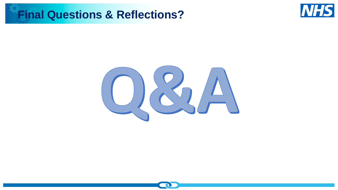### **Final Questions & Reflections?**





 $\sim$